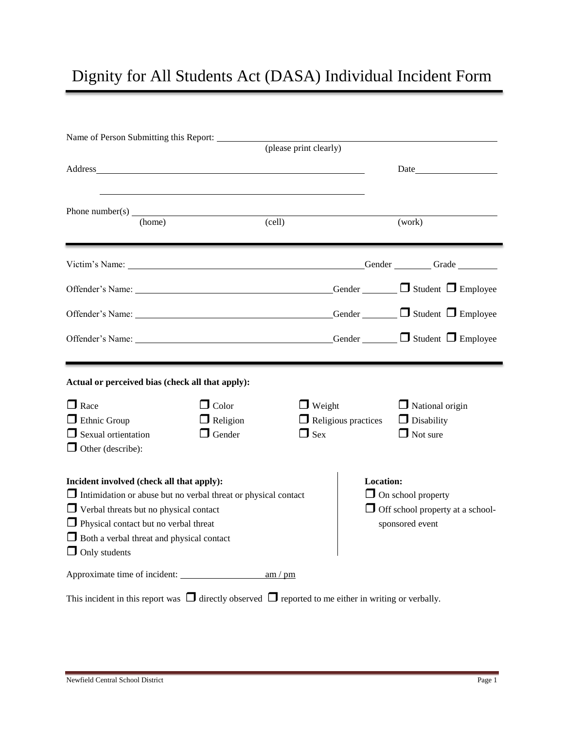## Dignity for All Students Act (DASA) Individual Incident Form

| Name of Person Submitting this Report:                                                                                                                                                                                                                                                   |                                                  |         |                                                           |                                                                                                             |  |                                                                |                                                                                                                                                                                                                               |
|------------------------------------------------------------------------------------------------------------------------------------------------------------------------------------------------------------------------------------------------------------------------------------------|--------------------------------------------------|---------|-----------------------------------------------------------|-------------------------------------------------------------------------------------------------------------|--|----------------------------------------------------------------|-------------------------------------------------------------------------------------------------------------------------------------------------------------------------------------------------------------------------------|
|                                                                                                                                                                                                                                                                                          |                                                  |         | (please print clearly)                                    |                                                                                                             |  |                                                                |                                                                                                                                                                                                                               |
| Address and the state of the state of the state of the state of the state of the state of the state of the state of the state of the state of the state of the state of the state of the state of the state of the state of th                                                           |                                                  |         |                                                           |                                                                                                             |  |                                                                | Date and the same state of the state of the state of the state of the state of the state of the state of the state of the state of the state of the state of the state of the state of the state of the state of the state of |
| Phone number(s) $\qquad \qquad$<br>(home)                                                                                                                                                                                                                                                |                                                  | (cell)  |                                                           |                                                                                                             |  | (work)                                                         |                                                                                                                                                                                                                               |
| Victim's Name: 1988. [19] Name: 1988. [19] Name: 1988. [19] Name: 1988. [19] Name: 1988. [19] Name: 1988. [19] Name: 1988. [19] Name: 1988. [19] Name: 1988. [19] Name: 1988. [19] Name: 1988. [19] Name: 1988. [19] Name: 198                                                           |                                                  |         |                                                           |                                                                                                             |  |                                                                | Gender Grade                                                                                                                                                                                                                  |
| Offender's Name: <u>Cender Gender</u> Gender Gender Butlent DEmployee                                                                                                                                                                                                                    |                                                  |         |                                                           |                                                                                                             |  |                                                                |                                                                                                                                                                                                                               |
|                                                                                                                                                                                                                                                                                          |                                                  |         |                                                           |                                                                                                             |  |                                                                |                                                                                                                                                                                                                               |
| Offender's Name: Content of Student Demployee Gender Content Of Employee                                                                                                                                                                                                                 |                                                  |         |                                                           |                                                                                                             |  |                                                                |                                                                                                                                                                                                                               |
| Actual or perceived bias (check all that apply):                                                                                                                                                                                                                                         |                                                  |         |                                                           |                                                                                                             |  |                                                                |                                                                                                                                                                                                                               |
| $\Box$ Race<br>$\Box$ Ethnic Group<br>$\Box$ Sexual ortientation<br>$\Box$ Other (describe):                                                                                                                                                                                             | $\Box$ Color<br>$\Box$ Religion<br>$\Box$ Gender |         | $\Box$ Weight<br>$\Box$ Religious practices<br>$\Box$ Sex |                                                                                                             |  | $\Box$ National origin<br>$\Box$ Disability<br>$\Box$ Not sure |                                                                                                                                                                                                                               |
| Incident involved (check all that apply):<br>$\Box$ Intimidation or abuse but no verbal threat or physical contact<br>$\Box$ Verbal threats but no physical contact<br>$\Box$ Physical contact but no verbal threat<br>Both a verbal threat and physical contact<br>$\Box$ Only students |                                                  |         |                                                           | <b>Location:</b><br>$\Box$ On school property<br>$\Box$ Off school property at a school-<br>sponsored event |  |                                                                |                                                                                                                                                                                                                               |
| Approximate time of incident:                                                                                                                                                                                                                                                            |                                                  | am / pm |                                                           |                                                                                                             |  |                                                                |                                                                                                                                                                                                                               |

This incident in this report was  $\Box$  directly observed  $\Box$  reported to me either in writing or verbally.